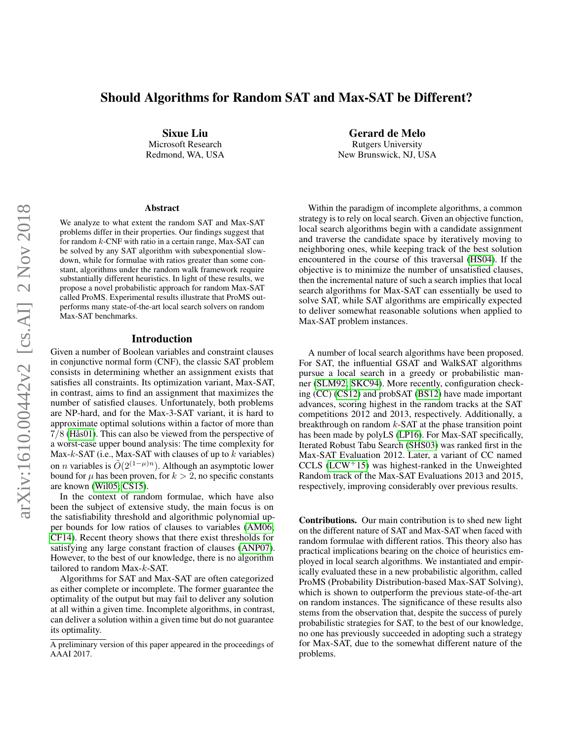# Should Algorithms for Random SAT and Max-SAT be Different?

Sixue Liu Microsoft Research Redmond, WA, USA

#### Abstract

We analyze to what extent the random SAT and Max-SAT problems differ in their properties. Our findings suggest that for random k-CNF with ratio in a certain range, Max-SAT can be solved by any SAT algorithm with subexponential slowdown, while for formulae with ratios greater than some constant, algorithms under the random walk framework require substantially different heuristics. In light of these results, we propose a novel probabilistic approach for random Max-SAT called ProMS. Experimental results illustrate that ProMS outperforms many state-of-the-art local search solvers on random Max-SAT benchmarks.

## Introduction

Given a number of Boolean variables and constraint clauses in conjunctive normal form (CNF), the classic SAT problem consists in determining whether an assignment exists that satisfies all constraints. Its optimization variant, Max-SAT, in contrast, aims to find an assignment that maximizes the number of satisfied clauses. Unfortunately, both problems are NP-hard, and for the Max-3-SAT variant, it is hard to approximate optimal solutions within a factor of more than 7/8 [\(Hås01\)](#page-6-0). This can also be viewed from the perspective of a worst-case upper bound analysis: The time complexity for Max-k-SAT (i.e., Max-SAT with clauses of up to  $k$  variables) on *n* variables is  $O(2^{(1-\mu)n})$ . Although an asymptotic lower bound for  $\mu$  has been proven, for  $k > 2$ , no specific constants are known [\(Wil05;](#page-6-1) [CS15\)](#page-6-2).

In the context of random formulae, which have also been the subject of extensive study, the main focus is on the satisfiability threshold and algorithmic polynomial upper bounds for low ratios of clauses to variables [\(AM06;](#page-6-3) [CF14\)](#page-6-4). Recent theory shows that there exist thresholds for satisfying any large constant fraction of clauses [\(ANP07\)](#page-6-5). However, to the best of our knowledge, there is no algorithm tailored to random Max-k-SAT.

Algorithms for SAT and Max-SAT are often categorized as either complete or incomplete. The former guarantee the optimality of the output but may fail to deliver any solution at all within a given time. Incomplete algorithms, in contrast, can deliver a solution within a given time but do not guarantee its optimality.

Gerard de Melo Rutgers University New Brunswick, NJ, USA

Within the paradigm of incomplete algorithms, a common strategy is to rely on local search. Given an objective function, local search algorithms begin with a candidate assignment and traverse the candidate space by iteratively moving to neighboring ones, while keeping track of the best solution encountered in the course of this traversal [\(HS04\)](#page-6-6). If the objective is to minimize the number of unsatisfied clauses, then the incremental nature of such a search implies that local search algorithms for Max-SAT can essentially be used to solve SAT, while SAT algorithms are empirically expected to deliver somewhat reasonable solutions when applied to Max-SAT problem instances.

A number of local search algorithms have been proposed. For SAT, the influential GSAT and WalkSAT algorithms pursue a local search in a greedy or probabilistic manner [\(SLM92;](#page-6-7) [SKC94\)](#page-6-8). More recently, configuration checking (CC) [\(CS12\)](#page-6-9) and probSAT [\(BS12\)](#page-6-10) have made important advances, scoring highest in the random tracks at the SAT competitions 2012 and 2013, respectively. Additionally, a breakthrough on random  $k$ -SAT at the phase transition point has been made by polyLS [\(LP16\)](#page-6-11). For Max-SAT specifically, Iterated Robust Tabu Search [\(SHS03\)](#page-6-12) was ranked first in the Max-SAT Evaluation 2012. Later, a variant of CC named CCLS  $(LCW<sup>+</sup>15)$  $(LCW<sup>+</sup>15)$  was highest-ranked in the Unweighted Random track of the Max-SAT Evaluations 2013 and 2015, respectively, improving considerably over previous results.

Contributions. Our main contribution is to shed new light on the different nature of SAT and Max-SAT when faced with random formulae with different ratios. This theory also has practical implications bearing on the choice of heuristics employed in local search algorithms. We instantiated and empirically evaluated these in a new probabilistic algorithm, called ProMS (Probability Distribution-based Max-SAT Solving), which is shown to outperform the previous state-of-the-art on random instances. The significance of these results also stems from the observation that, despite the success of purely probabilistic strategies for SAT, to the best of our knowledge, no one has previously succeeded in adopting such a strategy for Max-SAT, due to the somewhat different nature of the problems.

A preliminary version of this paper appeared in the proceedings of AAAI 2017.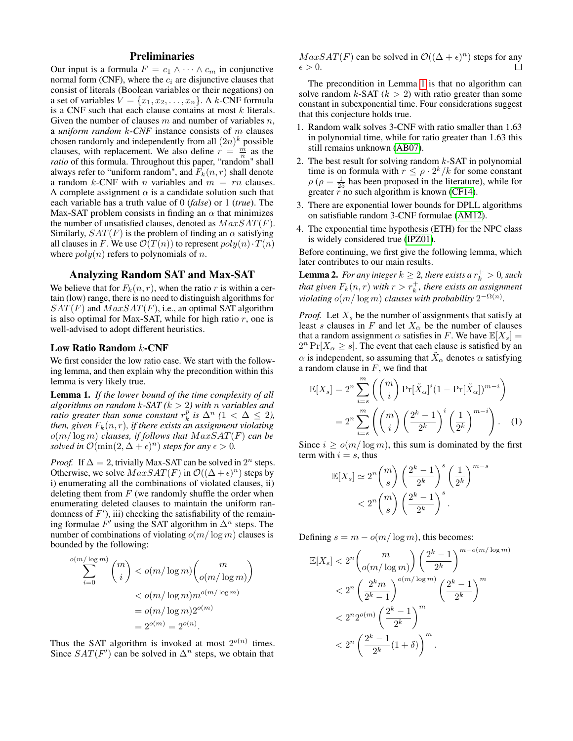# Preliminaries

Our input is a formula  $F = c_1 \wedge \cdots \wedge c_m$  in conjunctive normal form (CNF), where the  $c_i$  are disjunctive clauses that consist of literals (Boolean variables or their negations) on a set of variables  $V = \{x_1, x_2, \ldots, x_n\}$ . A k-CNF formula is a CNF such that each clause contains at most  $k$  literals. Given the number of clauses  $m$  and number of variables  $n$ , a *uniform random* k*-CNF* instance consists of m clauses chosen randomly and independently from all  $(2n)^k$  possible clauses, with replacement. We also define  $r = \frac{\hat{m}}{n}$  as the *ratio* of this formula. Throughout this paper, "random" shall always refer to "uniform random", and  $F_k(n, r)$  shall denote a random k-CNF with *n* variables and  $m = rn$  clauses. A complete assignment  $\alpha$  is a candidate solution such that each variable has a truth value of 0 (*false*) or 1 (*true*). The Max-SAT problem consists in finding an  $\alpha$  that minimizes the number of unsatisfied clauses, denoted as  $MaxSAT(F)$ . Similarly,  $SAT(F)$  is the problem of finding an  $\alpha$  satisfying all clauses in F. We use  $\mathcal{O}(T(n))$  to represent  $poly(n) \cdot T(n)$ where  $poly(n)$  refers to polynomials of n.

# Analyzing Random SAT and Max-SAT

We believe that for  $F_k(n, r)$ , when the ratio r is within a certain (low) range, there is no need to distinguish algorithms for  $SAT(F)$  and  $MaxSAT(F)$ , i.e., an optimal SAT algorithm is also optimal for Max-SAT, while for high ratio  $r$ , one is well-advised to adopt different heuristics.

### Low Ratio Random k-CNF

We first consider the low ratio case. We start with the following lemma, and then explain why the precondition within this lemma is very likely true.

<span id="page-1-0"></span>Lemma 1. *If the lower bound of the time complexity of all algorithms on random* k*-SAT (*k > 2*) with* n *variables and ratio greater than some constant*  $r_k^p$  *is*  $\Delta^n$  ( $1 < \Delta \leq 2$ ), *then, given*  $F_k(n, r)$ *, if there exists an assignment violating*  $o(m/\log m)$  *clauses, if follows that*  $MaxSAT(F)$  *can be solved in*  $\mathcal{O}(\min(2, \Delta + \epsilon)^n)$  *steps for any*  $\epsilon > 0$ *.* 

*Proof.* If  $\Delta = 2$ , trivially Max-SAT can be solved in  $2^n$  steps. Otherwise, we solve  $MaxSAT(F)$  in  $\mathcal{O}((\Delta + \epsilon)^n)$  steps by i) enumerating all the combinations of violated clauses, ii) deleting them from  $F$  (we randomly shuffle the order when enumerating deleted clauses to maintain the uniform randomness of  $F'$ ), iii) checking the satisfiability of the remaining formulae  $F'$  using the SAT algorithm in  $\Delta^n$  steps. The number of combinations of violating  $o(m/\log m)$  clauses is bounded by the following:

$$
\sum_{i=0}^{o(m/\log m)} \binom{m}{i} < o(m/\log m) \binom{m}{o(m/\log m)} \\
&< o(m/\log m) m^{o(m/\log m)} \\
&= o(m/\log m) 2^{o(m)} \\
&= 2^{o(n)} = 2^{o(n)}.
$$

Thus the SAT algorithm is invoked at most  $2^{o(n)}$  times. Since  $SAT(F')$  can be solved in  $\Delta^n$  steps, we obtain that

 $MaxSAT(F)$  can be solved in  $\mathcal{O}((\Delta + \epsilon)^n)$  steps for any  $\epsilon > 0$ .  $\Box$ 

The precondition in Lemma [1](#page-1-0) is that no algorithm can solve random  $k$ -SAT ( $k > 2$ ) with ratio greater than some constant in subexponential time. Four considerations suggest that this conjecture holds true.

- 1. Random walk solves 3-CNF with ratio smaller than 1.63 in polynomial time, while for ratio greater than 1.63 this still remains unknown [\(AB07\)](#page-6-14).
- 2. The best result for solving random  $k$ -SAT in polynomial time is on formula with  $r \leq \rho \cdot 2^k / k$  for some constant  $\rho$  ( $\rho = \frac{1}{25}$  has been proposed in the literature), while for greater  $r$  no such algorithm is known [\(CF14\)](#page-6-4).
- 3. There are exponential lower bounds for DPLL algorithms on satisfiable random 3-CNF formulae [\(AM12\)](#page-6-15).
- 4. The exponential time hypothesis (ETH) for the NPC class is widely considered true [\(IPZ01\)](#page-6-16).

Before continuing, we first give the following lemma, which later contributes to our main results.

<span id="page-1-1"></span>**Lemma 2.** For any integer  $k \geq 2$ , there exists a  $r_k^+ > 0$ , such that given  $F_k(n,r)$  with  $r > r_k^+$ , there exists an assignment *violating*  $o(m/\log m)$  *clauses with probability*  $2^{-\Omega(n)}$ *.* 

*Proof.* Let  $X_s$  be the number of assignments that satisfy at least s clauses in F and let  $X_\alpha$  be the number of clauses that a random assignment  $\alpha$  satisfies in F. We have  $\mathbb{E}[X_s] =$  $2^n \Pr[X_\alpha \geq s]$ . The event that each clause is satisfied by an  $\alpha$  is independent, so assuming that  $\tilde{X}_\alpha$  denotes  $\alpha$  satisfying a random clause in  $F$ , we find that

$$
\mathbb{E}[X_s] = 2^n \sum_{i=s}^m \left( \binom{m}{i} \Pr[\tilde{X}_\alpha]^i (1 - \Pr[\tilde{X}_\alpha])^{m-i} \right)
$$

$$
= 2^n \sum_{i=s}^m \left( \binom{m}{i} \left( \frac{2^k - 1}{2^k} \right)^i \left( \frac{1}{2^k} \right)^{m-i} \right). \quad (1)
$$

Since  $i > o(m/\log m)$ , this sum is dominated by the first term with  $i = s$ , thus

<span id="page-1-2"></span>
$$
\mathbb{E}[X_s] \simeq 2^n {m \choose s} \left(\frac{2^k - 1}{2^k}\right)^s \left(\frac{1}{2^k}\right)^{m-s}
$$
  
< 
$$
< 2^n {m \choose s} \left(\frac{2^k - 1}{2^k}\right)^s.
$$

Defining  $s = m - o(m/\log m)$ , this becomes:

$$
\mathbb{E}[X_s] < 2^n \binom{m}{o(m/\log m)} \left(\frac{2^k - 1}{2^k}\right)^{m - o(m/\log m)} \\
&< 2^n \left(\frac{2^k m}{2^k - 1}\right)^{o(m/\log m)} \left(\frac{2^k - 1}{2^k}\right)^m \\
&< 2^n 2^{o(m)} \left(\frac{2^k - 1}{2^k}\right)^m \\
&< 2^n \left(\frac{2^k - 1}{2^k} (1 + \delta)\right)^m.
$$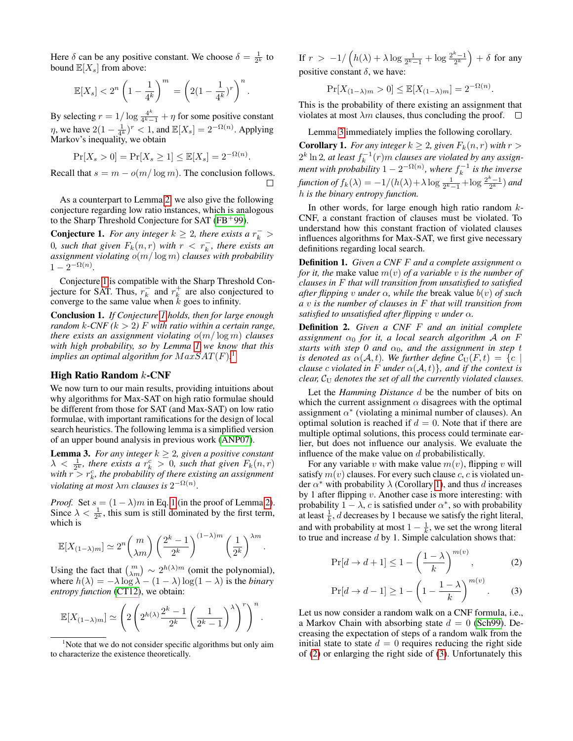Here  $\delta$  can be any positive constant. We choose  $\delta = \frac{1}{2^k}$  to bound  $\mathbb{E}[X_s]$  from above:

$$
\mathbb{E}[X_s] < 2^n \left(1 - \frac{1}{4^k}\right)^m = \left(2(1 - \frac{1}{4^k})^r\right)^n
$$

.

.

By selecting  $r = 1/\log \frac{4^k}{4^k}$  $\frac{4^{n}}{4^{k}-1} + \eta$  for some positive constant  $\eta$ , we have  $2(1 - \frac{1}{4^k})^r < 1$ , and  $\mathbb{E}[X_s] = 2^{-\Omega(n)}$ . Applying Markov's inequality, we obtain

$$
\Pr[X_s > 0] = \Pr[X_s \ge 1] \le \mathbb{E}[X_s] = 2^{-\Omega(n)}
$$

Recall that  $s = m - o(m/\log m)$ . The conclusion follows. П

As a counterpart to Lemma [2,](#page-1-1) we also give the following conjecture regarding low ratio instances, which is analogous to the Sharp Threshold Conjecture for SAT ( $FB<sup>+</sup>99$ ).

<span id="page-2-0"></span>**Conjecture 1.** For any integer  $k \geq 2$ , there exists a  $r_k^-$ *0, such that given*  $F_k(n,r)$  *with*  $r < r_k^-$ *, there exists an assignment violating* o(m/ log m) *clauses with probability*  $1 - 2^{-\Omega(n)}$ .

Conjecture [1](#page-2-0) is compatible with the Sharp Threshold Conjecture for SAT. Thus,  $r_k^-$  and  $r_k^+$  are also conjectured to converge to the same value when  $k$  goes to infinity.

Conclusion 1. *If Conjecture [1](#page-2-0) holds, then for large enough random*  $k$ -CNF ( $k > 2$ ) F with ratio within a certain range, *there exists an assignment violating* o(m/ log m) *clauses with high probability, so by Lemma [1](#page-1-0) we know that this implies an optimal algorithm for*  $MaxSAT(F)$ *.*<sup>[1](#page-2-1)</sup>

# High Ratio Random k-CNF

We now turn to our main results, providing intuitions about why algorithms for Max-SAT on high ratio formulae should be different from those for SAT (and Max-SAT) on low ratio formulae, with important ramifications for the design of local search heuristics. The following lemma is a simplified version of an upper bound analysis in previous work [\(ANP07\)](#page-6-5).

<span id="page-2-2"></span>**Lemma 3.** *For any integer*  $k \geq 2$ *, given a positive constant*  $\lambda < \frac{1}{2^k}$ , there exists a  $r_k^c > 0$ , such that given  $F_k(n, r)$ with  $r > r_k^c$ , the probability of there existing an assignment *violating at most*  $\lambda$ *m clauses is*  $2^{-\Omega(n)}$ *.* 

*Proof.* Set  $s = (1 - \lambda)m$  in Eq. [1](#page-1-2) (in the proof of Lemma [2\)](#page-1-1). Since  $\lambda < \frac{1}{2^k}$ , this sum is still dominated by the first term, which is

$$
\mathbb{E}[X_{(1-\lambda)m}] \simeq 2^n {m \choose \lambda m} \left(\frac{2^k-1}{2^k}\right)^{(1-\lambda)m} \left(\frac{1}{2^k}\right)^{\lambda m}.
$$

Using the fact that  $\binom{m}{\lambda m} \sim 2^{h(\lambda)m}$  (omit the polynomial), where  $h(\lambda) = -\lambda \log \lambda - (1 - \lambda) \log(1 - \lambda)$  is the *binary entropy function* [\(CT12\)](#page-6-18), we obtain:

$$
\mathbb{E}[X_{(1-\lambda)m}]\simeq \left(2\left(2^{h(\lambda)}\frac{2^k-1}{2^k}\left(\frac{1}{2^k-1}\right)^\lambda\right)^r\right)^n.
$$

If  $r > -1/\left(h(\lambda) + \lambda \log \frac{1}{2^k-1} + \log \frac{2^k-1}{2^k}\right) + \delta$  for any positive constant  $\delta$ , we have:

$$
\Pr[X_{(1-\lambda)m} > 0] \le \mathbb{E}[X_{(1-\lambda)m}] = 2^{-\Omega(n)}.
$$

This is the probability of there existing an assignment that violates at most  $\lambda m$  clauses, thus concluding the proof.  $\square$ 

Lemma [3](#page-2-2) immediately implies the following corollary.

<span id="page-2-3"></span>**Corollary 1.** *For any integer*  $k \geq 2$ *, given*  $F_k(n, r)$  *with*  $r >$  $2^k \ln 2$ , at least  $f_k^{-1}(r)$ m *clauses are violated by any assignment with probability*  $1 - 2^{-\Omega(n)}$ *, where*  $f_k^{-1}$  *is the inverse* function of  $f_k(\lambda) = -1/(h(\lambda) + \lambda \log \frac{1}{2^k-1} + \log \frac{2^k-1}{2^k})$  and h *is the binary entropy function.*

In other words, for large enough high ratio random  $k$ -CNF, a constant fraction of clauses must be violated. To understand how this constant fraction of violated clauses influences algorithms for Max-SAT, we first give necessary definitions regarding local search.

Definition 1. *Given a CNF* F *and a complete assignment* α *for it, the* make value  $m(v)$  *of a variable v is the number of clauses in* F *that will transition from unsatisfied to satisfied after flipping* v *under*  $\alpha$ *, while the* break value  $b(v)$  *of such a* v *is the number of clauses in* F *that will transition from satisfied to unsatisfied after flipping* v *under* α*.*

Definition 2. *Given a CNF* F *and an initial complete assignment*  $\alpha_0$  *for it, a local search algorithm* A *on* F *starts with step 0 and*  $\alpha_0$ *, and the assignment in step t is denoted as*  $\alpha(\mathcal{A}, t)$ *. We further define*  $\mathcal{C}_U(F, t) = \{c \mid$ *clause c violated in* F *under*  $\alpha(\mathcal{A}, t)$ *}, and if the context is clear,*  $C_U$  *denotes the set of all the currently violated clauses.* 

Let the *Hamming Distance* d be the number of bits on which the current assignment  $\alpha$  disagrees with the optimal assignment  $\alpha^*$  (violating a minimal number of clauses). An optimal solution is reached if  $d = 0$ . Note that if there are multiple optimal solutions, this process could terminate earlier, but does not influence our analysis. We evaluate the influence of the make value on d probabilistically.

For any variable v with make value  $m(v)$ , flipping v will satisfy  $m(v)$  clauses. For every such clause c, c is violated under  $\alpha^*$  with probability  $\lambda$  (Corollary [1\)](#page-2-3), and thus d increases by 1 after flipping  $v$ . Another case is more interesting: with probability  $1 - \lambda$ , c is satisfied under  $\alpha^*$ , so with probability at least  $\frac{1}{k}$ , *d* decreases by 1 because we satisfy the right literal, and with probability at most  $1 - \frac{1}{k}$ , we set the wrong literal to true and increase  $d$  by 1. Simple calculation shows that:

<span id="page-2-5"></span><span id="page-2-4"></span>
$$
\Pr[d \to d+1] \le 1 - \left(\frac{1-\lambda}{k}\right)^{m(v)},\tag{2}
$$

$$
\Pr[d \to d-1] \ge 1 - \left(1 - \frac{1-\lambda}{k}\right)^{m(v)}.\tag{3}
$$

Let us now consider a random walk on a CNF formula, i.e., a Markov Chain with absorbing state  $d = 0$  [\(Sch99\)](#page-6-19). Decreasing the expectation of steps of a random walk from the initial state to state  $d = 0$  requires reducing the right side of [\(2\)](#page-2-4) or enlarging the right side of [\(3\)](#page-2-5). Unfortunately this

<span id="page-2-1"></span><sup>&</sup>lt;sup>1</sup>Note that we do not consider specific algorithms but only aim to characterize the existence theoretically.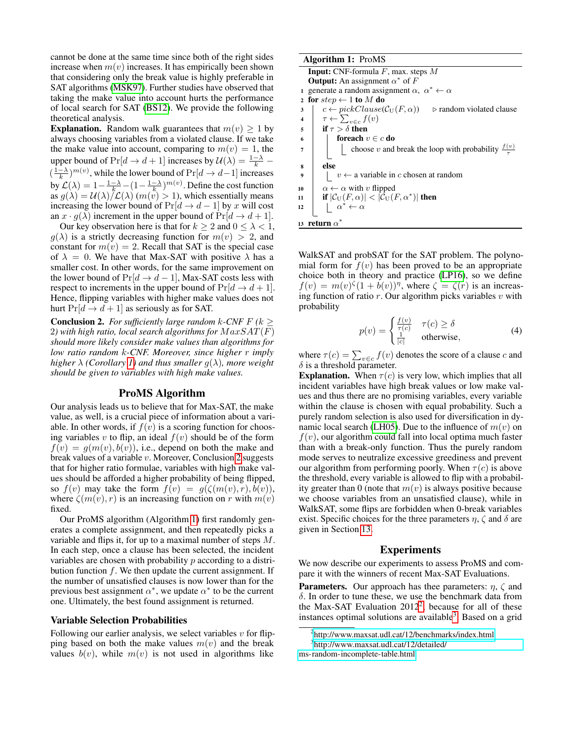cannot be done at the same time since both of the right sides increase when  $m(v)$  increases. It has empirically been shown that considering only the break value is highly preferable in SAT algorithms [\(MSK97\)](#page-6-20). Further studies have observed that taking the make value into account hurts the performance of local search for SAT [\(BS12\)](#page-6-10). We provide the following theoretical analysis.

**Explanation.** Random walk guarantees that  $m(v) \geq 1$  by always choosing variables from a violated clause. If we take the make value into account, comparing to  $m(v) = 1$ , the upper bound of  $Pr[d \to d+1]$  increases by  $\mathcal{U}(\lambda) = \frac{1-\lambda}{k}$  $(\frac{1-\lambda}{k})^{m(v)}$ , while the lower bound of  $Pr[d \to d-1]$  increases by  $\mathcal{L}(\lambda) = 1 - \frac{1-\lambda}{k} - (1 - \frac{1-\lambda}{k})^{m(v)}$ . Define the cost function as  $g(\lambda) = U(\lambda)/\mathcal{L}(\lambda)$  ( $m(v) > 1$ ), which essentially means increasing the lower bound of  $Pr[d \rightarrow d-1]$  by x will cost an  $x \cdot g(\lambda)$  increment in the upper bound of  $Pr[d \rightarrow d+1]$ .

Our key observation here is that for  $k \ge 2$  and  $0 \le \lambda < 1$ ,  $g(\lambda)$  is a strictly decreasing function for  $m(v) > 2$ , and constant for  $m(v) = 2$ . Recall that SAT is the special case of  $\lambda = 0$ . We have that Max-SAT with positive  $\lambda$  has a smaller cost. In other words, for the same improvement on the lower bound of  $Pr[d \rightarrow d-1]$ , Max-SAT costs less with respect to increments in the upper bound of  $Pr[d \rightarrow d+1]$ . Hence, flipping variables with higher make values does not hurt  $Pr[d \rightarrow d + 1]$  as seriously as for SAT.

<span id="page-3-0"></span>**Conclusion 2.** For sufficiently large random k-CNF  $F$  ( $k \geq$ 2) with high ratio, local search algorithms for  $MaxSAT(F)$ *should more likely consider make values than algorithms for low ratio random* k*-CNF. Moreover, since higher* r *imply higher*  $\lambda$  *(Corollary [1\)](#page-2-3)* and thus smaller  $q(\lambda)$ , more weight *should be given to variables with high make values.*

# ProMS Algorithm

Our analysis leads us to believe that for Max-SAT, the make value, as well, is a crucial piece of information about a variable. In other words, if  $f(v)$  is a scoring function for choosing variables v to flip, an ideal  $f(v)$  should be of the form  $f(v) = g(m(v), b(v))$ , i.e., depend on both the make and break values of a variable v. Moreover, Conclusion [2](#page-3-0) suggests that for higher ratio formulae, variables with high make values should be afforded a higher probability of being flipped, so  $f(v)$  may take the form  $f(v) = g(\zeta(m(v), r), b(v)),$ where  $\zeta(m(v), r)$  is an increasing function on r with  $m(v)$ fixed.

Our ProMS algorithm (Algorithm [1\)](#page-3-1) first randomly generates a complete assignment, and then repeatedly picks a variable and flips it, for up to a maximal number of steps M. In each step, once a clause has been selected, the incident variables are chosen with probability  $p$  according to a distribution function  $f$ . We then update the current assignment. If the number of unsatisfied clauses is now lower than for the previous best assignment  $\alpha^*$ , we update  $\alpha^*$  to be the current one. Ultimately, the best found assignment is returned.

#### Variable Selection Probabilities

Following our earlier analysis, we select variables  $v$  for flipping based on both the make values  $m(v)$  and the break values  $b(v)$ , while  $m(v)$  is not used in algorithms like

| <b>Algorithm 1: ProMS</b>                                                                     |  |
|-----------------------------------------------------------------------------------------------|--|
| <b>Input:</b> CNF-formula $F$ , max. steps $M$                                                |  |
| <b>Output:</b> An assignment $\alpha^*$ of F                                                  |  |
| generate a random assignment $\alpha$ , $\alpha^* \leftarrow \alpha$                          |  |
| for $step \leftarrow 1$ to M do<br>$\mathbf{2}$                                               |  |
| $c \leftarrow pickClause(CU(F, \alpha))$ $\triangleright$ random violated clause<br>3         |  |
| $\tau \leftarrow \sum_{v \in c} f(v)$<br>$\overline{\mathbf{4}}$                              |  |
| if $\tau > \delta$ then<br>5                                                                  |  |
| foreach $v \in c$ do<br>6                                                                     |  |
| choose v and break the loop with probability $\frac{f(v)}{\tau}$<br>7                         |  |
| else<br>8                                                                                     |  |
| $v \leftarrow$ a variable in c chosen at random<br>9                                          |  |
| $\alpha \leftarrow \alpha$ with v flipped<br>10                                               |  |
| if $ \mathcal{C}_{\mathrm{U}}(F,\alpha)  <  \mathcal{C}_{\mathrm{U}}(F,\alpha^*) $ then<br>11 |  |
| $\alpha^* \leftarrow \alpha$<br>12                                                            |  |
| return $\alpha$<br>13                                                                         |  |

<span id="page-3-1"></span>WalkSAT and probSAT for the SAT problem. The polynomial form for  $f(v)$  has been proved to be an appropriate choice both in theory and practice [\(LP16\)](#page-6-11), so we define  $f(v) = m(v)^{\zeta}(1 + b(v))^{\eta}$ , where  $\zeta = \zeta(r)$  is an increasing function of ratio  $r$ . Our algorithm picks variables  $v$  with probability

$$
p(v) = \begin{cases} \frac{f(v)}{\tau(c)} & \tau(c) \ge \delta\\ \frac{1}{|c|} & \text{otherwise,} \end{cases}
$$
 (4)

where  $\tau(c) = \sum_{v \in c} f(v)$  denotes the score of a clause c and  $\delta$  is a threshold parameter.

**Explanation.** When  $\tau(c)$  is very low, which implies that all incident variables have high break values or low make values and thus there are no promising variables, every variable within the clause is chosen with equal probability. Such a purely random selection is also used for diversification in dy-namic local search [\(LH05\)](#page-6-21). Due to the influence of  $m(v)$  on  $f(v)$ , our algorithm could fall into local optima much faster than with a break-only function. Thus the purely random mode serves to neutralize excessive greediness and prevent our algorithm from performing poorly. When  $\tau(c)$  is above the threshold, every variable is allowed to flip with a probability greater than 0 (note that  $m(v)$  is always positive because we choose variables from an unsatisfied clause), while in WalkSAT, some flips are forbidden when 0-break variables exist. Specific choices for the three parameters  $\eta$ ,  $\zeta$  and  $\delta$  are given in Section [13.](#page-3-2)

#### <span id="page-3-2"></span>Experiments

We now describe our experiments to assess ProMS and compare it with the winners of recent Max-SAT Evaluations.

**Parameters.** Our approach has thee parameters:  $\eta$ ,  $\zeta$  and δ. In order to tune these, we use the benchmark data from the Max-SAT Evaluation  $2012^2$  $2012^2$ , because for all of these instances optimal solutions are available<sup>[3](#page-3-4)</sup>. Based on a grid

<span id="page-3-4"></span><span id="page-3-3"></span><sup>2</sup> <http://www.maxsat.udl.cat/12/benchmarks/index.html>

<sup>3</sup> [http://www.maxsat.udl.cat/12/detailed/](http://www.maxsat.udl.cat/12/detailed/ms-random-incomplete-table.html)

[ms-random-incomplete-table.html](http://www.maxsat.udl.cat/12/detailed/ms-random-incomplete-table.html)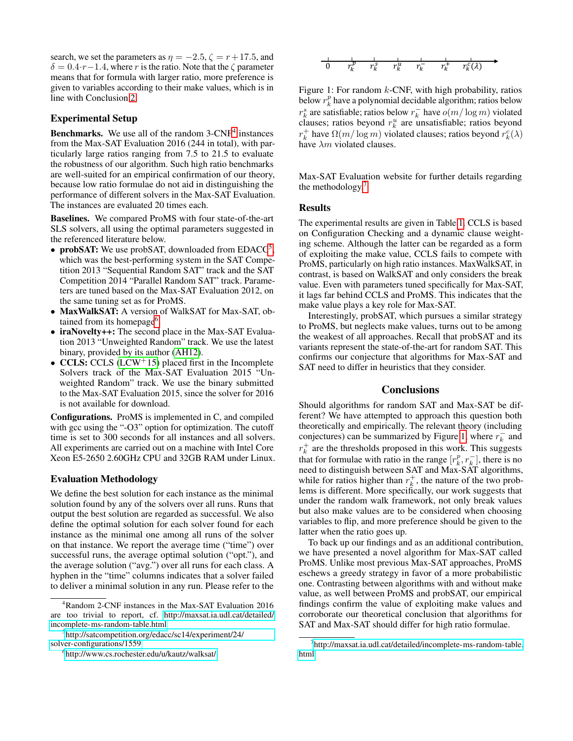search, we set the parameters as  $\eta = -2.5$ ,  $\zeta = r + 17.5$ , and  $\delta = 0.4 \cdot r - 1.4$ , where r is the ratio. Note that the  $\zeta$  parameter means that for formula with larger ratio, more preference is given to variables according to their make values, which is in line with Conclusion [2.](#page-3-0)

# Experimental Setup

**Benchmarks.** We use all of the random  $3$ -CNF<sup>[4](#page-4-0)</sup> instances from the Max-SAT Evaluation 2016 (244 in total), with particularly large ratios ranging from 7.5 to 21.5 to evaluate the robustness of our algorithm. Such high ratio benchmarks are well-suited for an empirical confirmation of our theory, because low ratio formulae do not aid in distinguishing the performance of different solvers in the Max-SAT Evaluation. The instances are evaluated 20 times each.

Baselines. We compared ProMS with four state-of-the-art SLS solvers, all using the optimal parameters suggested in the referenced literature below.

- probSAT: We use probSAT, downloaded from  $EDACC<sup>5</sup>$  $EDACC<sup>5</sup>$  $EDACC<sup>5</sup>$ , which was the best-performing system in the SAT Competition 2013 "Sequential Random SAT" track and the SAT Competition 2014 "Parallel Random SAT" track. Parameters are tuned based on the Max-SAT Evaluation 2012, on the same tuning set as for ProMS.
- MaxWalkSAT: A version of WalkSAT for Max-SAT, ob-tained from its homepage<sup>[6](#page-4-2)</sup>.
- iraNovelty++: The second place in the Max-SAT Evaluation 2013 "Unweighted Random" track. We use the latest binary, provided by its author [\(AH12\)](#page-6-22).
- CCLS: CCLS [\(LCW](#page-6-13)<sup>+</sup>15) placed first in the Incomplete Solvers track of the Max-SAT Evaluation 2015 "Unweighted Random" track. We use the binary submitted to the Max-SAT Evaluation 2015, since the solver for 2016 is not available for download.

Configurations. ProMS is implemented in C, and compiled with gcc using the "-O3" option for optimization. The cutoff time is set to 300 seconds for all instances and all solvers. All experiments are carried out on a machine with Intel Core Xeon E5-2650 2.60GHz CPU and 32GB RAM under Linux.

## Evaluation Methodology

We define the best solution for each instance as the minimal solution found by any of the solvers over all runs. Runs that output the best solution are regarded as successful. We also define the optimal solution for each solver found for each instance as the minimal one among all runs of the solver on that instance. We report the average time ("time") over successful runs, the average optimal solution ("opt."), and the average solution ("avg.") over all runs for each class. A hyphen in the "time" columns indicates that a solver failed to deliver a minimal solution in any run. Please refer to the

<span id="page-4-4"></span>

Figure 1: For random  $k$ -CNF, with high probability, ratios below  $r_k^p$  have a polynomial decidable algorithm; ratios below  $r_k^s$  are satisfiable; ratios below  $r_k^-$  have  $o(m/\log m)$  violated clauses; ratios beyond  $r_k^u$  are unsatisfiable; ratios beyond  $r_k^+$  have  $\Omega(m/\log m)$  violated clauses; ratios beyond  $r_k^c(\lambda)$ have  $\lambda m$  violated clauses.

Max-SAT Evaluation website for further details regarding the methodology.<sup>[7](#page-4-3)</sup>

### Results

The experimental results are given in Table [1.](#page-5-0) CCLS is based on Configuration Checking and a dynamic clause weighting scheme. Although the latter can be regarded as a form of exploiting the make value, CCLS fails to compete with ProMS, particularly on high ratio instances. MaxWalkSAT, in contrast, is based on WalkSAT and only considers the break value. Even with parameters tuned specifically for Max-SAT, it lags far behind CCLS and ProMS. This indicates that the make value plays a key role for Max-SAT.

Interestingly, probSAT, which pursues a similar strategy to ProMS, but neglects make values, turns out to be among the weakest of all approaches. Recall that probSAT and its variants represent the state-of-the-art for random SAT. This confirms our conjecture that algorithms for Max-SAT and SAT need to differ in heuristics that they consider.

### **Conclusions**

Should algorithms for random SAT and Max-SAT be different? We have attempted to approach this question both theoretically and empirically. The relevant theory (including conjectures) can be summarized by Figure [1,](#page-4-4) where  $r_k^-$  and  $r_k^+$  are the thresholds proposed in this work. This suggests that for formulae with ratio in the range  $[r_k^p, r_k^-]$ , there is no need to distinguish between SAT and Max-SAT algorithms, while for ratios higher than  $r_k^+$ , the nature of the two problems is different. More specifically, our work suggests that under the random walk framework, not only break values but also make values are to be considered when choosing variables to flip, and more preference should be given to the latter when the ratio goes up.

To back up our findings and as an additional contribution, we have presented a novel algorithm for Max-SAT called ProMS. Unlike most previous Max-SAT approaches, ProMS eschews a greedy strategy in favor of a more probabilistic one. Contrasting between algorithms with and without make value, as well between ProMS and probSAT, our empirical findings confirm the value of exploiting make values and corroborate our theoretical conclusion that algorithms for SAT and Max-SAT should differ for high ratio formulae.

<span id="page-4-0"></span><sup>4</sup>Random 2-CNF instances in the Max-SAT Evaluation 2016 are too trivial to report, cf. [http://maxsat.ia.udl.cat/detailed/](http://maxsat.ia.udl.cat/detailed/incomplete-ms-random-table.html) [incomplete-ms-random-table.html](http://maxsat.ia.udl.cat/detailed/incomplete-ms-random-table.html)

<span id="page-4-1"></span><sup>5</sup> [http://satcompetition.org/edacc/sc14/experiment/24/](http://satcompetition.org/edacc/sc14/experiment/24/solver-configurations/1559) [solver-configurations/1559](http://satcompetition.org/edacc/sc14/experiment/24/solver-configurations/1559)

<span id="page-4-2"></span><sup>6</sup> <http://www.cs.rochester.edu/u/kautz/walksat/>

<span id="page-4-3"></span><sup>7</sup> [http://maxsat.ia.udl.cat/detailed/incomplete-ms-random-table.](http://maxsat.ia.udl.cat/detailed/incomplete-ms-random-table.html) [html](http://maxsat.ia.udl.cat/detailed/incomplete-ms-random-table.html)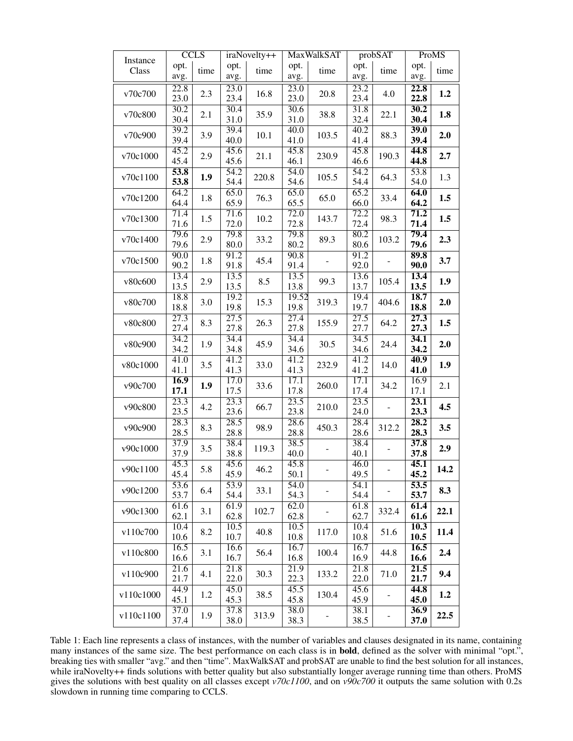<span id="page-5-0"></span>

| Instance  | <b>CCLS</b>               |      | iraNovelty++              |       | <b>MaxWalkSAT</b> |       | probSAT                   |       | ProMS        |      |
|-----------|---------------------------|------|---------------------------|-------|-------------------|-------|---------------------------|-------|--------------|------|
| Class     | opt.<br>avg.              | time | opt.<br>avg.              | time  | opt.<br>avg.      | time  | opt.<br>avg.              | time  | opt.<br>avg. | time |
| v70c700   | 22.8<br>23.0              | 2.3  | $\overline{23.0}$<br>23.4 | 16.8  | 23.0<br>23.0      | 20.8  | 23.2<br>23.4              | 4.0   | 22.8<br>22.8 | 1.2  |
| v70c800   | 30.2<br>30.4              | 2.1  | 30.4<br>31.0              | 35.9  | 30.6<br>31.0      | 38.8  | 31.8<br>32.4              | 22.1  | 30.2<br>30.4 | 1.8  |
| v70c900   | 39.2<br>39.4              | 3.9  | 39.4<br>40.0              | 10.1  | 40.0<br>41.0      | 103.5 | 40.2<br>41.4              | 88.3  | 39.0<br>39.4 | 2.0  |
| v70c1000  | 45.2<br>45.4              | 2.9  | 45.6<br>45.6              | 21.1  | 45.8<br>46.1      | 230.9 | 45.8<br>46.6              | 190.3 | 44.8<br>44.8 | 2.7  |
| v70c1100  | 53.8<br>53.8              | 1.9  | 54.2<br>54.4              | 220.8 | 54.0<br>54.6      | 105.5 | 54.2<br>54.4              | 64.3  | 53.8<br>54.0 | 1.3  |
| v70c1200  | 64.2<br>64.4              | 1.8  | 65.0<br>65.9              | 76.3  | 65.0<br>65.5      | 65.0  | 65.2<br>66.0              | 33.4  | 64.0<br>64.2 | 1.5  |
| v70c1300  | 71.4<br>71.6              | 1.5  | 71.6<br>72.0              | 10.2  | 72.0<br>72.8      | 143.7 | 72.2<br>72.4              | 98.3  | 71.2<br>71.4 | 1.5  |
| v70c1400  | 79.6<br>79.6              | 2.9  | 79.8<br>80.0              | 33.2  | 79.8<br>80.2      | 89.3  | 80.2<br>80.6              | 103.2 | 79.4<br>79.6 | 2.3  |
| v70c1500  | 90.0<br>90.2              | 1.8  | 91.2<br>91.8              | 45.4  | 90.8<br>91.4      |       | 91.2<br>92.0              |       | 89.8<br>90.0 | 3.7  |
| v80c600   | 13.4<br>13.5              | 2.9  | 13.5<br>13.5              | 8.5   | 13.5<br>13.8      | 99.3  | 13.6<br>13.7              | 105.4 | 13.4<br>13.5 | 1.9  |
| v80c700   | 18.8<br>18.8              | 3.0  | 19.2<br>19.8              | 15.3  | 19.52<br>19.8     | 319.3 | 19.4<br>19.7              | 404.6 | 18.7<br>18.8 | 2.0  |
| v80c800   | $\overline{27.3}$<br>27.4 | 8.3  | $\overline{27.5}$<br>27.8 | 26.3  | 27.4<br>27.8      | 155.9 | $\overline{27.5}$<br>27.7 | 64.2  | 27.3<br>27.3 | 1.5  |
| v80c900   | 34.2<br>34.2              | 1.9  | 34.4<br>34.8              | 45.9  | 34.4<br>34.6      | 30.5  | 34.5<br>34.6              | 24.4  | 34.1<br>34.2 | 2.0  |
| v80c1000  | 41.0<br>41.1              | 3.5  | 41.2<br>41.3              | 33.0  | 41.2<br>41.3      | 232.9 | 41.2<br>41.2              | 14.0  | 40.9<br>41.0 | 1.9  |
| v90c700   | 16.9<br>17.1              | 1.9  | 17.0<br>17.5              | 33.6  | 17.1<br>17.8      | 260.0 | 17.1<br>17.4              | 34.2  | 16.9<br>17.1 | 2.1  |
| v90c800   | 23.3<br>23.5              | 4.2  | 23.3<br>23.6              | 66.7  | 23.5<br>23.8      | 210.0 | 23.5<br>24.0              |       | 23.1<br>23.3 | 4.5  |
| v90c900   | $\overline{28.3}$<br>28.5 | 8.3  | $\overline{28.5}$<br>28.8 | 98.9  | 28.6<br>28.8      | 450.3 | 28.4<br>28.6              | 312.2 | 28.2<br>28.3 | 3.5  |
| v90c1000  | 37.9<br>37.9              | 3.5  | 38.4<br>38.8              | 119.3 | 38.5<br>40.0      |       | 38.4<br>40.1              |       | 37.8<br>37.8 | 2.9  |
| v90c1100  | 45.3<br>45.4              | 5.8  | 45.6<br>45.9              | 46.2  | 45.8<br>50.1      |       | 46.0<br>49.5              |       | 45.1<br>45.2 | 14.2 |
| v90c1200  | 53.6<br>53.7              | 6.4  | 53.9<br>54.4              | 33.1  | 54.0<br>54.3      |       | 54.1<br>54.4              |       | 53.5<br>53.7 | 8.3  |
| v90c1300  | 61.6<br>62.1              | 3.1  | 61.9<br>62.8              | 102.7 | 62.0<br>62.8      |       | 61.8<br>62.7              | 332.4 | 61.4<br>61.6 | 22.1 |
| v110c700  | 10.4<br>10.6              | 8.2  | 10.5<br>10.7              | 40.8  | 10.5<br>10.8      | 117.0 | 10.4<br>10.8              | 51.6  | 10.3<br>10.5 | 11.4 |
| v110c800  | 16.5<br>16.6              | 3.1  | 16.6<br>16.7              | 56.4  | 16.7<br>16.8      | 100.4 | 16.7<br>16.9              | 44.8  | 16.5<br>16.6 | 2.4  |
| v110c900  | 21.6<br>21.7              | 4.1  | 21.8<br>22.0              | 30.3  | 21.9<br>22.3      | 133.2 | 21.8<br>22.0              | 71.0  | 21.5<br>21.7 | 9.4  |
| v110c1000 | 44.9<br>45.1              | 1.2  | 45.0<br>45.3              | 38.5  | 45.5<br>45.8      | 130.4 | 45.6<br>45.9              |       | 44.8<br>45.0 | 1.2  |
| v110c1100 | 37.0<br>37.4              | 1.9  | 37.8<br>38.0              | 313.9 | 38.0<br>38.3      |       | 38.1<br>38.5              |       | 36.9<br>37.0 | 22.5 |

Table 1: Each line represents a class of instances, with the number of variables and clauses designated in its name, containing many instances of the same size. The best performance on each class is in **bold**, defined as the solver with minimal "opt.", breaking ties with smaller "avg." and then "time". MaxWalkSAT and probSAT are unable to find the best solution for all instances, while iraNovelty++ finds solutions with better quality but also substantially longer average running time than others. ProMS gives the solutions with best quality on all classes except *v70c1100*, and on *v90c700* it outputs the same solution with 0.2s slowdown in running time comparing to CCLS.